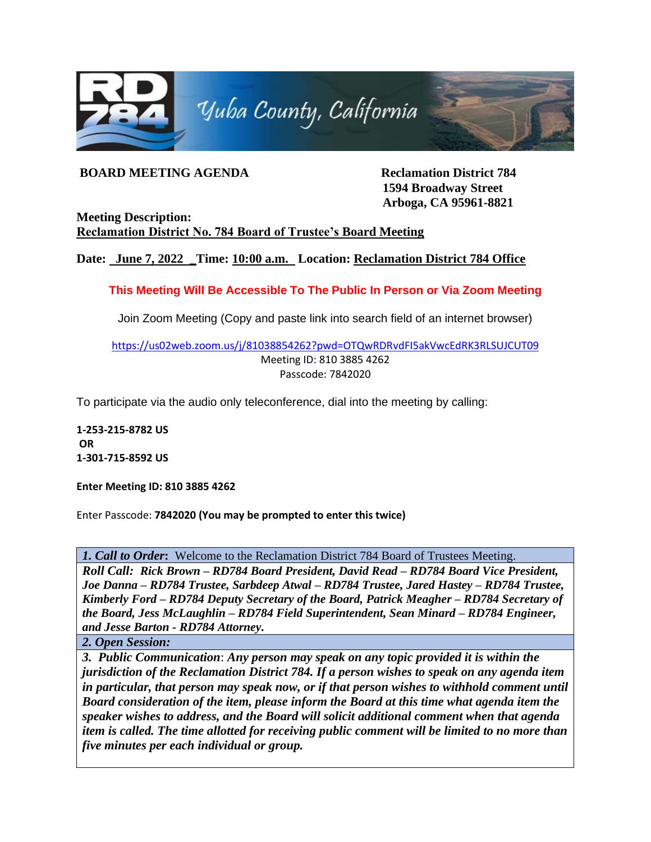

## **BOARD MEETING AGENDA Reclamation District 784**

**1594 Broadway Street Arboga, CA 95961-8821**

**Meeting Description: Reclamation District No. 784 Board of Trustee's Board Meeting** 

**Date: June 7, 2022 \_Time: 10:00 a.m. Location: Reclamation District 784 Office**

**This Meeting Will Be Accessible To The Public In Person or Via Zoom Meeting**

Join Zoom Meeting (Copy and paste link into search field of an internet browser)

<https://us02web.zoom.us/j/81038854262?pwd=OTQwRDRvdFI5akVwcEdRK3RLSUJCUT09> Meeting ID: 810 3885 4262 Passcode: 7842020

To participate via the audio only teleconference, dial into the meeting by calling:

**1-253-215-8782 US OR 1-301-715-8592 US** 

**Enter Meeting ID: 810 3885 4262**

Enter Passcode: **7842020 (You may be prompted to enter this twice)**

*1. Call to Order***:** Welcome to the Reclamation District 784 Board of Trustees Meeting.

*Roll Call: Rick Brown – RD784 Board President, David Read – RD784 Board Vice President, Joe Danna – RD784 Trustee, Sarbdeep Atwal – RD784 Trustee, Jared Hastey – RD784 Trustee, Kimberly Ford – RD784 Deputy Secretary of the Board, Patrick Meagher – RD784 Secretary of the Board, Jess McLaughlin – RD784 Field Superintendent, Sean Minard – RD784 Engineer, and Jesse Barton - RD784 Attorney.*

*2. Open Session:*

*3. Public Communication*: *Any person may speak on any topic provided it is within the jurisdiction of the Reclamation District 784. If a person wishes to speak on any agenda item in particular, that person may speak now, or if that person wishes to withhold comment until Board consideration of the item, please inform the Board at this time what agenda item the speaker wishes to address, and the Board will solicit additional comment when that agenda item is called. The time allotted for receiving public comment will be limited to no more than five minutes per each individual or group.*